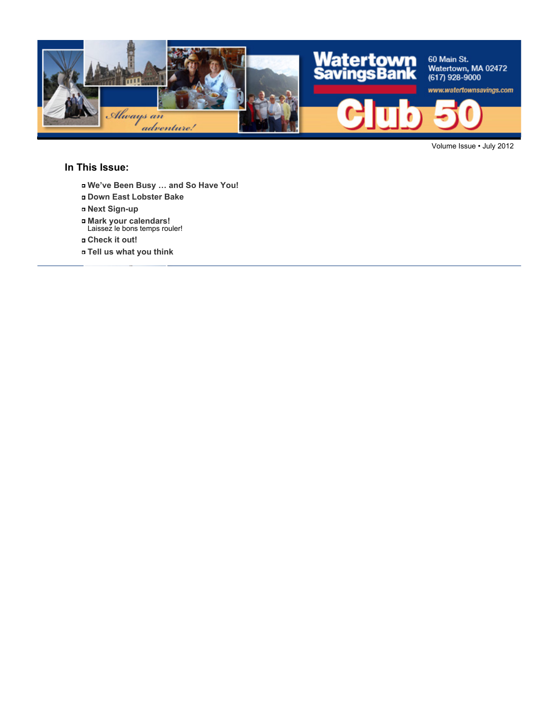

Volume Issue • July 2012

#### **In This Issue:**

- **We've Been Busy … and So Have You!**
- **Down East Lobster Bake**
- **Next Sign-up**
- **Mark your calendars!** Laissez le bons temps rouler!
- **Check it out!**
- **Tell us what you think**



**Joan Galgay**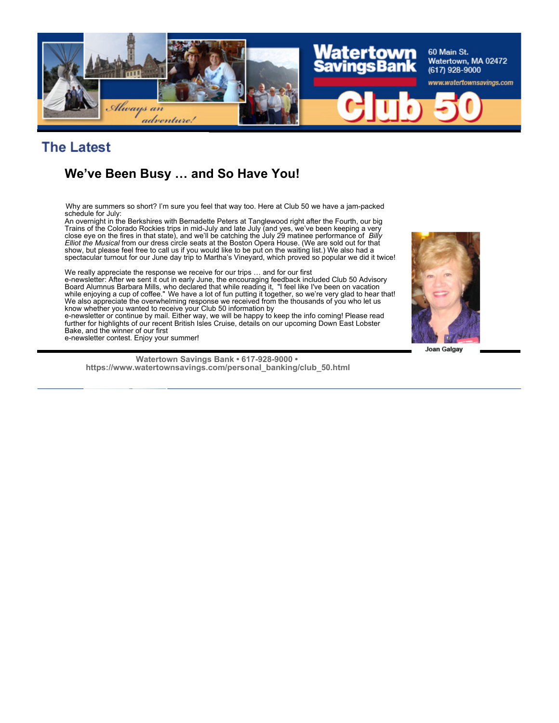

#### **The Latest**

#### **We've Been Busy … and So Have You!**

Why are summers so short? I'm sure you feel that way too. Here at Club 50 we have a jam-packed schedule for July:

An overnight in the Berkshires with Bernadette Peters at Tanglewood right after the Fourth, our big Trains of the Colorado Rockies trips in mid-July and late July (and yes, we've been keeping a very close eye on the fires in that state), and we'll be catching the July 29 matinee performance of *Billy Elliot the Musical* from our dress circle seats at the Boston Opera House. (We are sold out for that show, but please feel free to call us if you would like to be put on the waiting list.) We also had a spectacular turnout for our June day trip to Martha's Vineyard, which proved so popular we did it twice!

We really appreciate the response we receive for our trips … and for our first e-newsletter: After we sent it out in early June, the encouraging feedback included Club 50 Advisory Board Alumnus Barbara Mills, who declared that while reading it, "I feel like I've been on vacation while enjoying a cup of coffee." We have a lot of fun putting it together, so we're very glad to hear that! We also appreciate the overwhelming response we received from the thousands of you who let us know whether you wanted to receive your Club 50 information by

e-newsletter or continue by mail. Either way, we will be happy to keep the info coming! Please read further for highlights of our recent British Isles Cruise, details on our upcoming Down East Lobster Bake, and the winner of our first e-newsletter contest. Enjoy your summer!



**Joan Galgay**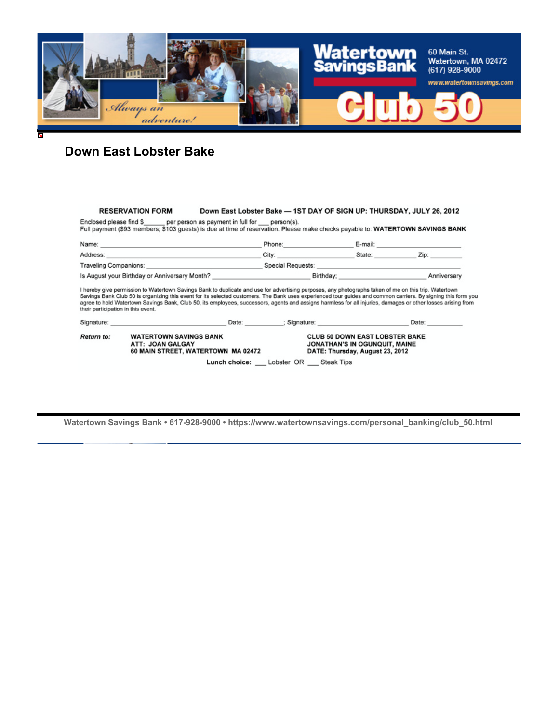

#### **Down East Lobster Bake**

#### Down East Lobster Bake - 1ST DAY OF SIGN UP: THURSDAY, JULY 26, 2012 **RESERVATION FORM**

Enclosed please find \$\_ per person as payment in full for \_\_ person(s). Full payment (\$93 members; \$103 guests) is due at time of reservation. Please make checks payable to: WATERTOWN SAVINGS BANK

| Name:                                         | Phone:            | E-mail: |             |
|-----------------------------------------------|-------------------|---------|-------------|
| Address:                                      | City:             | State:  | Zip:        |
| Traveling Companions:                         | Special Requests: |         |             |
| Is August your Birthday or Anniversary Month? | Birthdav:         |         | Anniversary |

Savings Bank Club 50 is organizing this event for its selected customers. The Bank uses experienced tour guides and common carriers. By signing this form you agree to hold Watertown Savings Bank, Club 50, its employees, successors, agents and assigns harmless for all injuries, damages or other losses arising from<br>their participation in this event.

| Signature:        | Date:                                                                                   | Signature:                                                                                                | Date:             |  |
|-------------------|-----------------------------------------------------------------------------------------|-----------------------------------------------------------------------------------------------------------|-------------------|--|
| <b>Return to:</b> | <b>WATERTOWN SAVINGS BANK</b><br>ATT: JOAN GALGAY<br>60 MAIN STREET, WATERTOWN MA 02472 | <b>CLUB 50 DOWN EAST LOBSTER BAKE</b><br>JONATHAN'S IN OGUNQUIT, MAINE<br>DATE: Thursday, August 23, 2012 |                   |  |
|                   | Lunch choice:                                                                           | Lobster OR                                                                                                | <b>Steak Tips</b> |  |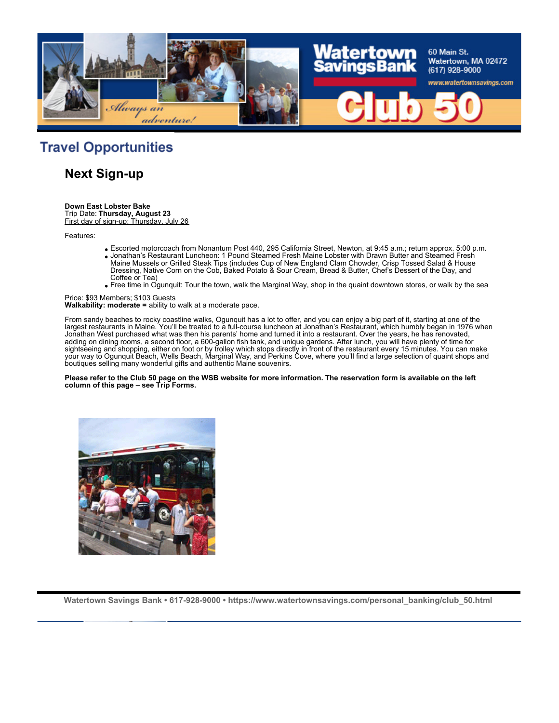

## **Travel Opportunities**

**Next Sign-up**

**Down East Lobster Bake** Trip Date: **Thursday, August 23**

First day of sign-up: Thursday, July 26

Features:

- Escorted motorcoach from Nonantum Post 440, 295 California Street, Newton, at 9:45 a.m.; return approx. 5:00 p.m.
- Jonathan's Restaurant Luncheon: 1 Pound Steamed Fresh Maine Lobster with Drawn Butter and Steamed Fresh Maine Mussels or Grilled Steak Tips (includes Cup of New England Clam Chowder, Crisp Tossed Salad & House Dressing, Native Corn on the Cob, Baked Potato & Sour Cream, Bread & Butter, Chef's Dessert of the Day, and Coffee or Tea)
- Free time in Ogunquit: Tour the town, walk the Marginal Way, shop in the quaint downtown stores, or walk by the sea

Price: \$93 Members; \$103 Guests **Walkability: moderate =** ability to walk at a moderate pace.

From sandy beaches to rocky coastline walks, Ogunquit has a lot to offer, and you can enjoy a big part of it, starting at one of the largest restaurants in Maine. You'll be treated to a full-course luncheon at Jonathan's Restaurant, which humbly began in 1976 when Jonathan West purchased what was then his parents' home and turned it into a restaurant. Over the years, he has renovated, adding on dining rooms, a second floor, a 600-gallon fish tank, and unique gardens. After lunch, you will have plenty of time for sightseeing and shopping, either on foot or by trolley which stops directly in front of the restaurant every 15 minutes. You can make your way to Ogunquit Beach, Wells Beach, Marginal Way, and Perkins Cove, where you'll find a large selection of quaint shops and boutiques selling many wonderful gifts and authentic Maine souvenirs.

**Please refer to the Club 50 page on the WSB website for more information. The reservation form is available on the left column of this page – see Trip Forms.**

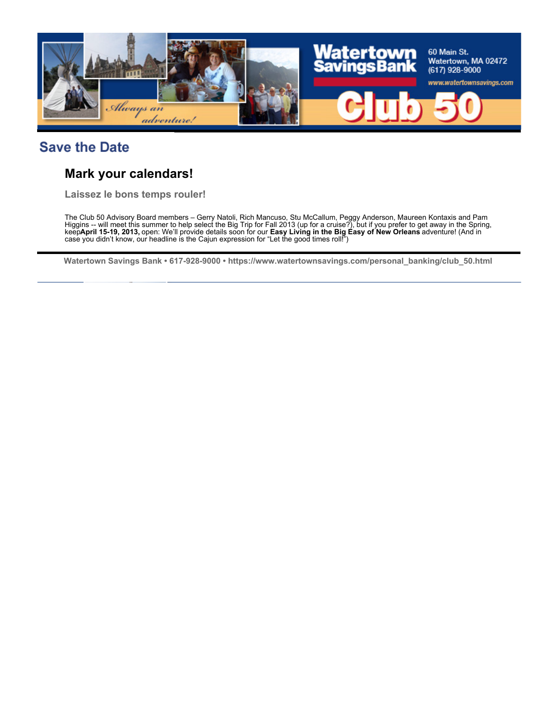

## **Save the Date**

#### **Mark your calendars!**

**Laissez le bons temps rouler!**

The Club 50 Advisory Board members – Gerry Natoli, Rich Mancuso, Stu McCallum, Peggy Anderson, Maureen Kontaxis and Pam Higgins -- will meet this summer to help select the Big Trip for Fall 2013 (up for a cruise?), but if you prefer to get away in the Spring, keep **April 15-19, 2013,** open: We'll provide details soon for our **Easy Living in the Big Easy of New Orleans** adventure! (And in case you didn't know, our headline is the Cajun expression for "Let the good times roll!")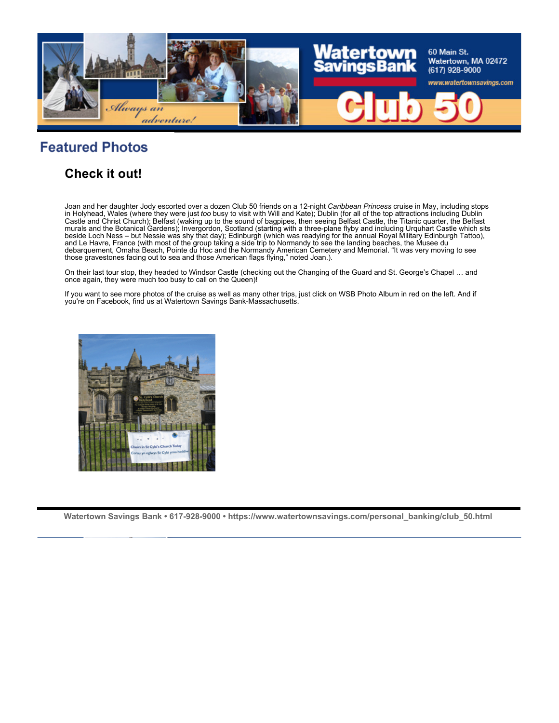

# **Featured Photos**

#### **Check it out!**

Joan and her daughter Jody escorted over a dozen Club 50 friends on a 12-night *Caribbean Princess* cruise in May, including stops in Holyhead, Wales (where they were just *too* busy to visit with Will and Kate); Dublin (for all of the top attractions including Dublin Castle and Christ Church); Belfast (waking up to the sound of bagpipes, then seeing Belfast Castle, the Titanic quarter, the Belfast murals and the Botanical Gardens); Invergordon, Scotland (starting with a three-plane flyby and including Urquhart Castle which sits beside Loch Ness – but Nessie was shy that day); Edinburgh (which was readying for the annual Royal Military Edinburgh Tattoo), and Le Havre, France (with most of the group taking a side trip to Normandy to see the landing beaches, the Musee du debarquement, Omaha Beach, Pointe du Hoc and the Normandy American Cemetery and Memorial. "It was very moving to see those gravestones facing out to sea and those American flags flying," noted Joan.).

On their last tour stop, they headed to Windsor Castle (checking out the Changing of the Guard and St. George's Chapel … and once again, they were much too busy to call on the Queen)!

If you want to see more photos of the cruise as well as many other trips, just click on WSB Photo Album in red on the left. And if you're on Facebook, find us at Watertown Savings Bank-Massachusetts.